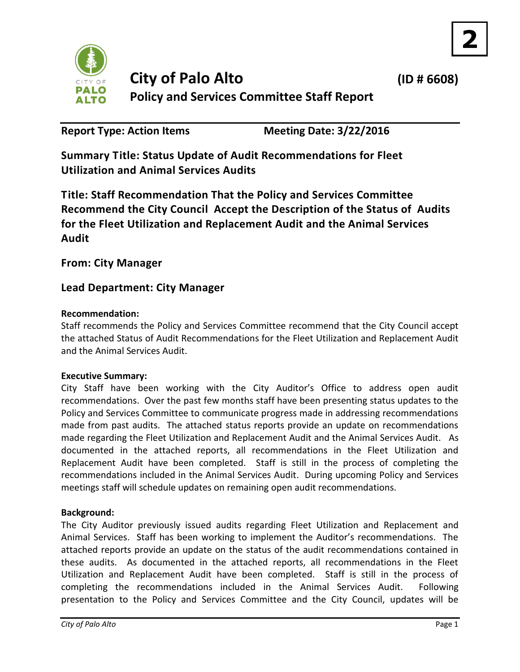

**2**

**Report Type: Action Items Meeting Date: 3/22/2016**

**Summary Title: Status Update of Audit Recommendations for Fleet Utilization and Animal Services Audits**

**Title: Staff Recommendation That the Policy and Services Committee Recommend the City Council Accept the Description of the Status of Audits for the Fleet Utilization and Replacement Audit and the Animal Services Audit**

**From: City Manager**

# **Lead Department: City Manager**

# **Recommendation:**

Staff recommends the Policy and Services Committee recommend that the City Council accept the attached Status of Audit Recommendations for the Fleet Utilization and Replacement Audit and the Animal Services Audit.

### **Executive Summary:**

City Staff have been working with the City Auditor's Office to address open audit recommendations. Over the past few months staff have been presenting status updates to the Policy and Services Committee to communicate progress made in addressing recommendations made from past audits. The attached status reports provide an update on recommendations made regarding the Fleet Utilization and Replacement Audit and the Animal Services Audit. As documented in the attached reports, all recommendations in the Fleet Utilization and Replacement Audit have been completed. Staff is still in the process of completing the recommendations included in the Animal Services Audit. During upcoming Policy and Services meetings staff will schedule updates on remaining open audit recommendations.

### **Background:**

The City Auditor previously issued audits regarding Fleet Utilization and Replacement and Animal Services. Staff has been working to implement the Auditor's recommendations. The attached reports provide an update on the status of the audit recommendations contained in these audits. As documented in the attached reports, all recommendations in the Fleet Utilization and Replacement Audit have been completed. Staff is still in the process of completing the recommendations included in the Animal Services Audit. Following presentation to the Policy and Services Committee and the City Council, updates will be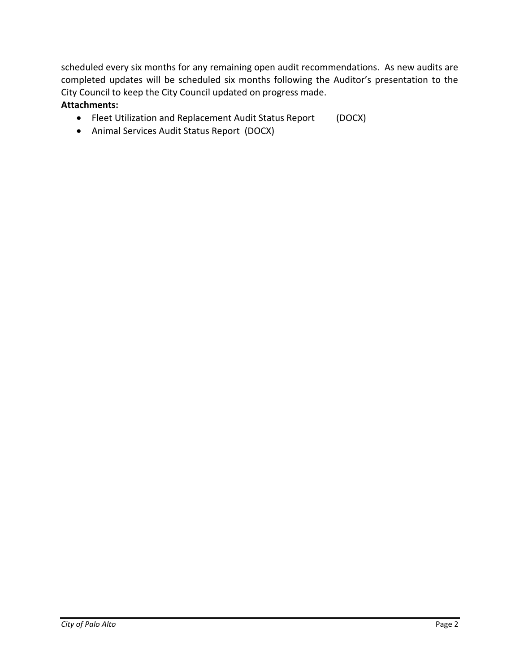scheduled every six months for any remaining open audit recommendations. As new audits are completed updates will be scheduled six months following the Auditor's presentation to the City Council to keep the City Council updated on progress made.

### **Attachments:**

- Fleet Utilization and Replacement Audit Status Report (DOCX)
- Animal Services Audit Status Report (DOCX)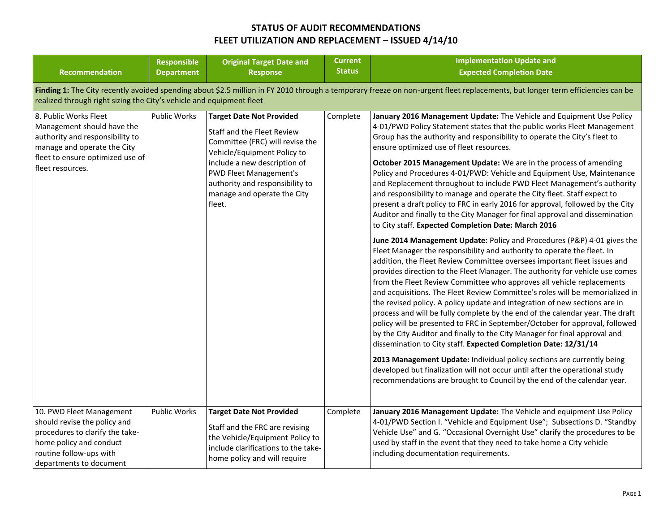| <b>Recommendation</b>                                                                                                                                                                                                                                 | <b>Responsible</b><br><b>Department</b> | <b>Original Target Date and</b><br><b>Response</b>                                                                                                                                                                                                                           | <b>Current</b><br><b>Status</b> | <b>Implementation Update and</b><br><b>Expected Completion Date</b>                                                                                                                                                                                                                                                                                                                                                                                                                                                                                                                                                                                                                                                                                                                                                                                                                                                                                                                                                                                                                                                                                                                                                                                                                                                                                                                                                                                                                                                                                                                                                                                                                                                                                                                                                                                                                                                  |  |  |  |  |  |
|-------------------------------------------------------------------------------------------------------------------------------------------------------------------------------------------------------------------------------------------------------|-----------------------------------------|------------------------------------------------------------------------------------------------------------------------------------------------------------------------------------------------------------------------------------------------------------------------------|---------------------------------|----------------------------------------------------------------------------------------------------------------------------------------------------------------------------------------------------------------------------------------------------------------------------------------------------------------------------------------------------------------------------------------------------------------------------------------------------------------------------------------------------------------------------------------------------------------------------------------------------------------------------------------------------------------------------------------------------------------------------------------------------------------------------------------------------------------------------------------------------------------------------------------------------------------------------------------------------------------------------------------------------------------------------------------------------------------------------------------------------------------------------------------------------------------------------------------------------------------------------------------------------------------------------------------------------------------------------------------------------------------------------------------------------------------------------------------------------------------------------------------------------------------------------------------------------------------------------------------------------------------------------------------------------------------------------------------------------------------------------------------------------------------------------------------------------------------------------------------------------------------------------------------------------------------------|--|--|--|--|--|
| Finding 1: The City recently avoided spending about \$2.5 million in FY 2010 through a temporary freeze on non-urgent fleet replacements, but longer term efficiencies can be<br>realized through right sizing the City's vehicle and equipment fleet |                                         |                                                                                                                                                                                                                                                                              |                                 |                                                                                                                                                                                                                                                                                                                                                                                                                                                                                                                                                                                                                                                                                                                                                                                                                                                                                                                                                                                                                                                                                                                                                                                                                                                                                                                                                                                                                                                                                                                                                                                                                                                                                                                                                                                                                                                                                                                      |  |  |  |  |  |
| 8. Public Works Fleet<br>Management should have the<br>authority and responsibility to<br>manage and operate the City<br>fleet to ensure optimized use of<br>fleet resources.                                                                         | Public Works                            | <b>Target Date Not Provided</b><br>Staff and the Fleet Review<br>Committee (FRC) will revise the<br>Vehicle/Equipment Policy to<br>include a new description of<br><b>PWD Fleet Management's</b><br>authority and responsibility to<br>manage and operate the City<br>fleet. | Complete                        | January 2016 Management Update: The Vehicle and Equipment Use Policy<br>4-01/PWD Policy Statement states that the public works Fleet Management<br>Group has the authority and responsibility to operate the City's fleet to<br>ensure optimized use of fleet resources.<br>October 2015 Management Update: We are in the process of amending<br>Policy and Procedures 4-01/PWD: Vehicle and Equipment Use, Maintenance<br>and Replacement throughout to include PWD Fleet Management's authority<br>and responsibility to manage and operate the City fleet. Staff expect to<br>present a draft policy to FRC in early 2016 for approval, followed by the City<br>Auditor and finally to the City Manager for final approval and dissemination<br>to City staff. Expected Completion Date: March 2016<br>June 2014 Management Update: Policy and Procedures (P&P) 4-01 gives the<br>Fleet Manager the responsibility and authority to operate the fleet. In<br>addition, the Fleet Review Committee oversees important fleet issues and<br>provides direction to the Fleet Manager. The authority for vehicle use comes<br>from the Fleet Review Committee who approves all vehicle replacements<br>and acquisitions. The Fleet Review Committee's roles will be memorialized in<br>the revised policy. A policy update and integration of new sections are in<br>process and will be fully complete by the end of the calendar year. The draft<br>policy will be presented to FRC in September/October for approval, followed<br>by the City Auditor and finally to the City Manager for final approval and<br>dissemination to City staff. Expected Completion Date: 12/31/14<br>2013 Management Update: Individual policy sections are currently being<br>developed but finalization will not occur until after the operational study<br>recommendations are brought to Council by the end of the calendar year. |  |  |  |  |  |
| 10. PWD Fleet Management<br>should revise the policy and<br>procedures to clarify the take-<br>home policy and conduct<br>routine follow-ups with<br>departments to document                                                                          | Public Works                            | <b>Target Date Not Provided</b><br>Staff and the FRC are revising<br>the Vehicle/Equipment Policy to<br>include clarifications to the take-<br>home policy and will require                                                                                                  | Complete                        | January 2016 Management Update: The Vehicle and equipment Use Policy<br>4-01/PWD Section I. "Vehicle and Equipment Use"; Subsections D. "Standby<br>Vehicle Use" and G. "Occasional Overnight Use" clarify the procedures to be<br>used by staff in the event that they need to take home a City vehicle<br>including documentation requirements.                                                                                                                                                                                                                                                                                                                                                                                                                                                                                                                                                                                                                                                                                                                                                                                                                                                                                                                                                                                                                                                                                                                                                                                                                                                                                                                                                                                                                                                                                                                                                                    |  |  |  |  |  |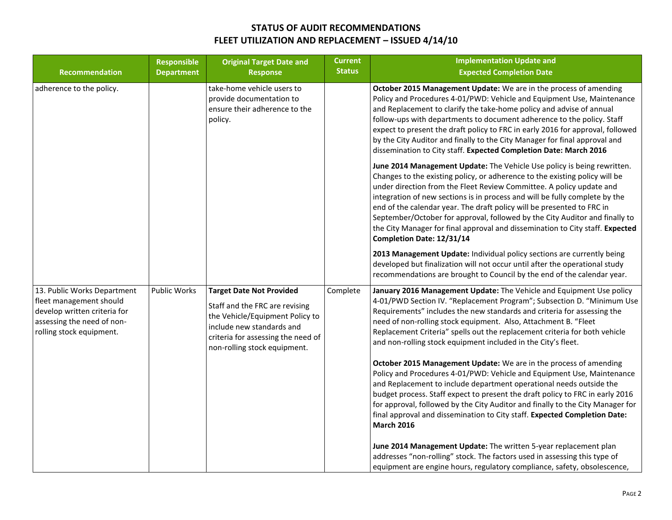| <b>Recommendation</b>                                                                                                                            | <b>Responsible</b><br><b>Department</b> | <b>Original Target Date and</b><br><b>Response</b>                                                                                                                                                      | <b>Current</b><br><b>Status</b> | <b>Implementation Update and</b><br><b>Expected Completion Date</b>                                                                                                                                                                                                                                                                                                                                                                                                                                                                                                                  |
|--------------------------------------------------------------------------------------------------------------------------------------------------|-----------------------------------------|---------------------------------------------------------------------------------------------------------------------------------------------------------------------------------------------------------|---------------------------------|--------------------------------------------------------------------------------------------------------------------------------------------------------------------------------------------------------------------------------------------------------------------------------------------------------------------------------------------------------------------------------------------------------------------------------------------------------------------------------------------------------------------------------------------------------------------------------------|
| adherence to the policy.                                                                                                                         |                                         | take-home vehicle users to<br>provide documentation to<br>ensure their adherence to the<br>policy.                                                                                                      |                                 | October 2015 Management Update: We are in the process of amending<br>Policy and Procedures 4-01/PWD: Vehicle and Equipment Use, Maintenance<br>and Replacement to clarify the take-home policy and advise of annual<br>follow-ups with departments to document adherence to the policy. Staff<br>expect to present the draft policy to FRC in early 2016 for approval, followed<br>by the City Auditor and finally to the City Manager for final approval and<br>dissemination to City staff. Expected Completion Date: March 2016                                                   |
|                                                                                                                                                  |                                         |                                                                                                                                                                                                         |                                 | June 2014 Management Update: The Vehicle Use policy is being rewritten.<br>Changes to the existing policy, or adherence to the existing policy will be<br>under direction from the Fleet Review Committee. A policy update and<br>integration of new sections is in process and will be fully complete by the<br>end of the calendar year. The draft policy will be presented to FRC in<br>September/October for approval, followed by the City Auditor and finally to<br>the City Manager for final approval and dissemination to City staff. Expected<br>Completion Date: 12/31/14 |
|                                                                                                                                                  |                                         |                                                                                                                                                                                                         |                                 | 2013 Management Update: Individual policy sections are currently being<br>developed but finalization will not occur until after the operational study<br>recommendations are brought to Council by the end of the calendar year.                                                                                                                                                                                                                                                                                                                                                     |
| 13. Public Works Department<br>fleet management should<br>develop written criteria for<br>assessing the need of non-<br>rolling stock equipment. | Public Works                            | <b>Target Date Not Provided</b><br>Staff and the FRC are revising<br>the Vehicle/Equipment Policy to<br>include new standards and<br>criteria for assessing the need of<br>non-rolling stock equipment. | Complete                        | January 2016 Management Update: The Vehicle and Equipment Use policy<br>4-01/PWD Section IV. "Replacement Program"; Subsection D. "Minimum Use<br>Requirements" includes the new standards and criteria for assessing the<br>need of non-rolling stock equipment. Also, Attachment B. "Fleet<br>Replacement Criteria" spells out the replacement criteria for both vehicle<br>and non-rolling stock equipment included in the City's fleet.                                                                                                                                          |
|                                                                                                                                                  |                                         |                                                                                                                                                                                                         |                                 | October 2015 Management Update: We are in the process of amending<br>Policy and Procedures 4-01/PWD: Vehicle and Equipment Use, Maintenance<br>and Replacement to include department operational needs outside the<br>budget process. Staff expect to present the draft policy to FRC in early 2016<br>for approval, followed by the City Auditor and finally to the City Manager for<br>final approval and dissemination to City staff. Expected Completion Date:<br><b>March 2016</b>                                                                                              |
|                                                                                                                                                  |                                         |                                                                                                                                                                                                         |                                 | June 2014 Management Update: The written 5-year replacement plan<br>addresses "non-rolling" stock. The factors used in assessing this type of<br>equipment are engine hours, regulatory compliance, safety, obsolescence,                                                                                                                                                                                                                                                                                                                                                            |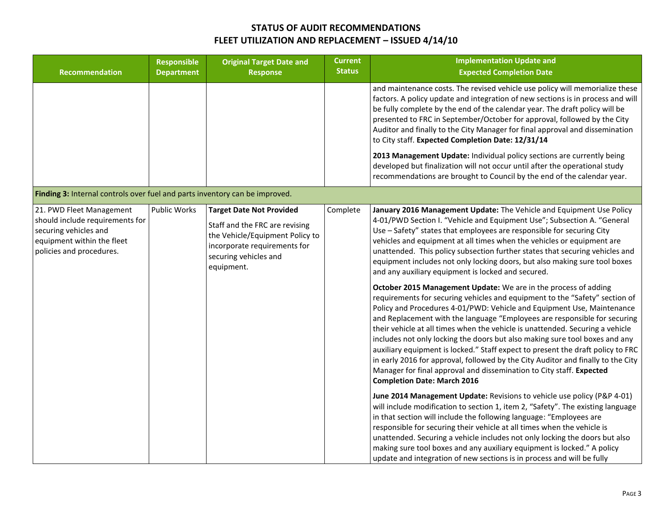| <b>Recommendation</b>                                                                                                                          | <b>Responsible</b><br><b>Department</b> | <b>Original Target Date and</b><br><b>Response</b>                                                                                                                          | <b>Current</b><br><b>Status</b> | <b>Implementation Update and</b><br><b>Expected Completion Date</b>                                                                                                                                                                                                                                                                                                                                                                                                                                                                                                                                                                                                                                                                                                                                                                                                                                                                                                                                                                                                                                                                                                                                                                                                                         |
|------------------------------------------------------------------------------------------------------------------------------------------------|-----------------------------------------|-----------------------------------------------------------------------------------------------------------------------------------------------------------------------------|---------------------------------|---------------------------------------------------------------------------------------------------------------------------------------------------------------------------------------------------------------------------------------------------------------------------------------------------------------------------------------------------------------------------------------------------------------------------------------------------------------------------------------------------------------------------------------------------------------------------------------------------------------------------------------------------------------------------------------------------------------------------------------------------------------------------------------------------------------------------------------------------------------------------------------------------------------------------------------------------------------------------------------------------------------------------------------------------------------------------------------------------------------------------------------------------------------------------------------------------------------------------------------------------------------------------------------------|
|                                                                                                                                                |                                         |                                                                                                                                                                             |                                 | and maintenance costs. The revised vehicle use policy will memorialize these<br>factors. A policy update and integration of new sections is in process and will<br>be fully complete by the end of the calendar year. The draft policy will be<br>presented to FRC in September/October for approval, followed by the City<br>Auditor and finally to the City Manager for final approval and dissemination<br>to City staff. Expected Completion Date: 12/31/14                                                                                                                                                                                                                                                                                                                                                                                                                                                                                                                                                                                                                                                                                                                                                                                                                             |
|                                                                                                                                                |                                         |                                                                                                                                                                             |                                 | 2013 Management Update: Individual policy sections are currently being<br>developed but finalization will not occur until after the operational study<br>recommendations are brought to Council by the end of the calendar year.                                                                                                                                                                                                                                                                                                                                                                                                                                                                                                                                                                                                                                                                                                                                                                                                                                                                                                                                                                                                                                                            |
| Finding 3: Internal controls over fuel and parts inventory can be improved.                                                                    |                                         |                                                                                                                                                                             |                                 |                                                                                                                                                                                                                                                                                                                                                                                                                                                                                                                                                                                                                                                                                                                                                                                                                                                                                                                                                                                                                                                                                                                                                                                                                                                                                             |
| 21. PWD Fleet Management<br>should include requirements for<br>securing vehicles and<br>equipment within the fleet<br>policies and procedures. | <b>Public Works</b>                     | <b>Target Date Not Provided</b><br>Staff and the FRC are revising<br>the Vehicle/Equipment Policy to<br>incorporate requirements for<br>securing vehicles and<br>equipment. | Complete                        | January 2016 Management Update: The Vehicle and Equipment Use Policy<br>4-01/PWD Section I. "Vehicle and Equipment Use"; Subsection A. "General<br>Use - Safety" states that employees are responsible for securing City<br>vehicles and equipment at all times when the vehicles or equipment are<br>unattended. This policy subsection further states that securing vehicles and<br>equipment includes not only locking doors, but also making sure tool boxes<br>and any auxiliary equipment is locked and secured.<br><b>October 2015 Management Update:</b> We are in the process of adding<br>requirements for securing vehicles and equipment to the "Safety" section of<br>Policy and Procedures 4-01/PWD: Vehicle and Equipment Use, Maintenance<br>and Replacement with the language "Employees are responsible for securing<br>their vehicle at all times when the vehicle is unattended. Securing a vehicle<br>includes not only locking the doors but also making sure tool boxes and any<br>auxiliary equipment is locked." Staff expect to present the draft policy to FRC<br>in early 2016 for approval, followed by the City Auditor and finally to the City<br>Manager for final approval and dissemination to City staff. Expected<br><b>Completion Date: March 2016</b> |
|                                                                                                                                                |                                         |                                                                                                                                                                             |                                 | June 2014 Management Update: Revisions to vehicle use policy (P&P 4-01)<br>will include modification to section 1, item 2, "Safety". The existing language<br>in that section will include the following language: "Employees are<br>responsible for securing their vehicle at all times when the vehicle is<br>unattended. Securing a vehicle includes not only locking the doors but also<br>making sure tool boxes and any auxiliary equipment is locked." A policy<br>update and integration of new sections is in process and will be fully                                                                                                                                                                                                                                                                                                                                                                                                                                                                                                                                                                                                                                                                                                                                            |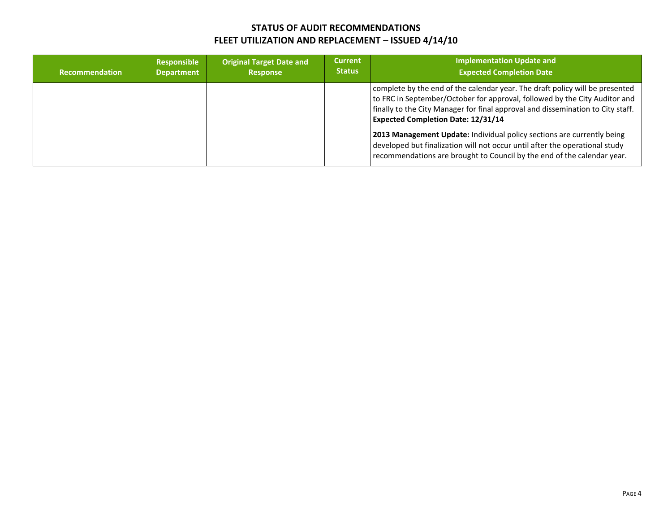| <b>Recommendation</b> | Responsible<br><b>Department</b> | <b>Original Target Date and</b><br><b>Response</b> | <b>Current</b><br><b>Status</b> | <b>Implementation Update and</b><br><b>Expected Completion Date</b>                                                                                                                                                                                                                        |
|-----------------------|----------------------------------|----------------------------------------------------|---------------------------------|--------------------------------------------------------------------------------------------------------------------------------------------------------------------------------------------------------------------------------------------------------------------------------------------|
|                       |                                  |                                                    |                                 | complete by the end of the calendar year. The draft policy will be presented<br>to FRC in September/October for approval, followed by the City Auditor and<br>finally to the City Manager for final approval and dissemination to City staff.<br><b>Expected Completion Date: 12/31/14</b> |
|                       |                                  |                                                    |                                 | 2013 Management Update: Individual policy sections are currently being<br>developed but finalization will not occur until after the operational study<br>recommendations are brought to Council by the end of the calendar year.                                                           |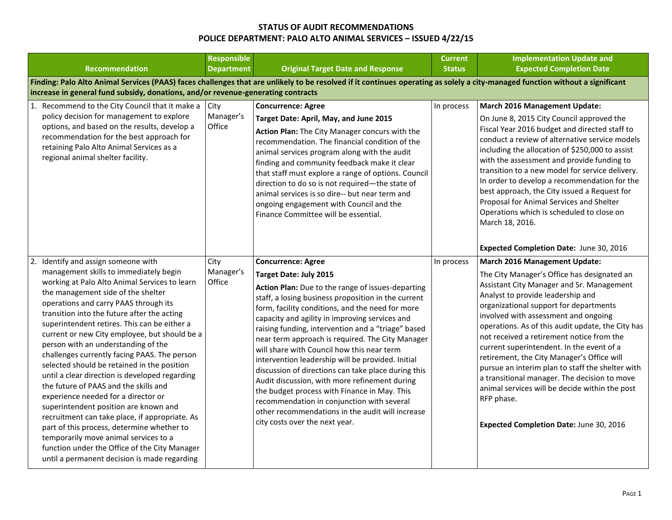|                                                                                                                                                                                                                                                                                                                                                                                                                                                                                                                                                                                                                                                                                                                                                                                                                                                                                                                             | <b>Responsible</b>          |                                                                                                                                                                                                                                                                                                                                                                                                                                                                                                                                                                                                                                                                                                                                                                                       | <b>Current</b> | <b>Implementation Update and</b>                                                                                                                                                                                                                                                                                                                                                                                                                                                                                                                                                                                                                                    |  |
|-----------------------------------------------------------------------------------------------------------------------------------------------------------------------------------------------------------------------------------------------------------------------------------------------------------------------------------------------------------------------------------------------------------------------------------------------------------------------------------------------------------------------------------------------------------------------------------------------------------------------------------------------------------------------------------------------------------------------------------------------------------------------------------------------------------------------------------------------------------------------------------------------------------------------------|-----------------------------|---------------------------------------------------------------------------------------------------------------------------------------------------------------------------------------------------------------------------------------------------------------------------------------------------------------------------------------------------------------------------------------------------------------------------------------------------------------------------------------------------------------------------------------------------------------------------------------------------------------------------------------------------------------------------------------------------------------------------------------------------------------------------------------|----------------|---------------------------------------------------------------------------------------------------------------------------------------------------------------------------------------------------------------------------------------------------------------------------------------------------------------------------------------------------------------------------------------------------------------------------------------------------------------------------------------------------------------------------------------------------------------------------------------------------------------------------------------------------------------------|--|
| <b>Recommendation</b>                                                                                                                                                                                                                                                                                                                                                                                                                                                                                                                                                                                                                                                                                                                                                                                                                                                                                                       | <b>Department</b>           | <b>Original Target Date and Response</b>                                                                                                                                                                                                                                                                                                                                                                                                                                                                                                                                                                                                                                                                                                                                              | <b>Status</b>  | <b>Expected Completion Date</b>                                                                                                                                                                                                                                                                                                                                                                                                                                                                                                                                                                                                                                     |  |
| Finding: Palo Alto Animal Services (PAAS) faces challenges that are unlikely to be resolved if it continues operating as solely a city-managed function without a significant<br>increase in general fund subsidy, donations, and/or revenue-generating contracts                                                                                                                                                                                                                                                                                                                                                                                                                                                                                                                                                                                                                                                           |                             |                                                                                                                                                                                                                                                                                                                                                                                                                                                                                                                                                                                                                                                                                                                                                                                       |                |                                                                                                                                                                                                                                                                                                                                                                                                                                                                                                                                                                                                                                                                     |  |
| Recommend to the City Council that it make a<br>1.<br>policy decision for management to explore<br>options, and based on the results, develop a<br>recommendation for the best approach for<br>retaining Palo Alto Animal Services as a<br>regional animal shelter facility.                                                                                                                                                                                                                                                                                                                                                                                                                                                                                                                                                                                                                                                | City<br>Manager's<br>Office | <b>Concurrence: Agree</b><br>Target Date: April, May, and June 2015<br>Action Plan: The City Manager concurs with the<br>recommendation. The financial condition of the<br>animal services program along with the audit<br>finding and community feedback make it clear<br>that staff must explore a range of options. Council<br>direction to do so is not required-the state of<br>animal services is so dire-- but near term and<br>ongoing engagement with Council and the<br>Finance Committee will be essential.                                                                                                                                                                                                                                                                | In process     | <b>March 2016 Management Update:</b><br>On June 8, 2015 City Council approved the<br>Fiscal Year 2016 budget and directed staff to<br>conduct a review of alternative service models<br>including the allocation of \$250,000 to assist<br>with the assessment and provide funding to<br>transition to a new model for service delivery.<br>In order to develop a recommendation for the<br>best approach, the City issued a Request for<br>Proposal for Animal Services and Shelter<br>Operations which is scheduled to close on<br>March 18, 2016.                                                                                                                |  |
|                                                                                                                                                                                                                                                                                                                                                                                                                                                                                                                                                                                                                                                                                                                                                                                                                                                                                                                             |                             |                                                                                                                                                                                                                                                                                                                                                                                                                                                                                                                                                                                                                                                                                                                                                                                       |                | Expected Completion Date: June 30, 2016                                                                                                                                                                                                                                                                                                                                                                                                                                                                                                                                                                                                                             |  |
| 2.<br>Identify and assign someone with<br>management skills to immediately begin<br>working at Palo Alto Animal Services to learn<br>the management side of the shelter<br>operations and carry PAAS through its<br>transition into the future after the acting<br>superintendent retires. This can be either a<br>current or new City employee, but should be a<br>person with an understanding of the<br>challenges currently facing PAAS. The person<br>selected should be retained in the position<br>until a clear direction is developed regarding<br>the future of PAAS and the skills and<br>experience needed for a director or<br>superintendent position are known and<br>recruitment can take place, if appropriate. As<br>part of this process, determine whether to<br>temporarily move animal services to a<br>function under the Office of the City Manager<br>until a permanent decision is made regarding | City<br>Manager's<br>Office | <b>Concurrence: Agree</b><br><b>Target Date: July 2015</b><br>Action Plan: Due to the range of issues-departing<br>staff, a losing business proposition in the current<br>form, facility conditions, and the need for more<br>capacity and agility in improving services and<br>raising funding, intervention and a "triage" based<br>near term approach is required. The City Manager<br>will share with Council how this near term<br>intervention leadership will be provided. Initial<br>discussion of directions can take place during this<br>Audit discussion, with more refinement during<br>the budget process with Finance in May. This<br>recommendation in conjunction with several<br>other recommendations in the audit will increase<br>city costs over the next year. | In process     | <b>March 2016 Management Update:</b><br>The City Manager's Office has designated an<br>Assistant City Manager and Sr. Management<br>Analyst to provide leadership and<br>organizational support for departments<br>involved with assessment and ongoing<br>operations. As of this audit update, the City has<br>not received a retirement notice from the<br>current superintendent. In the event of a<br>retirement, the City Manager's Office will<br>pursue an interim plan to staff the shelter with<br>a transitional manager. The decision to move<br>animal services will be decide within the post<br>RFP phase.<br>Expected Completion Date: June 30, 2016 |  |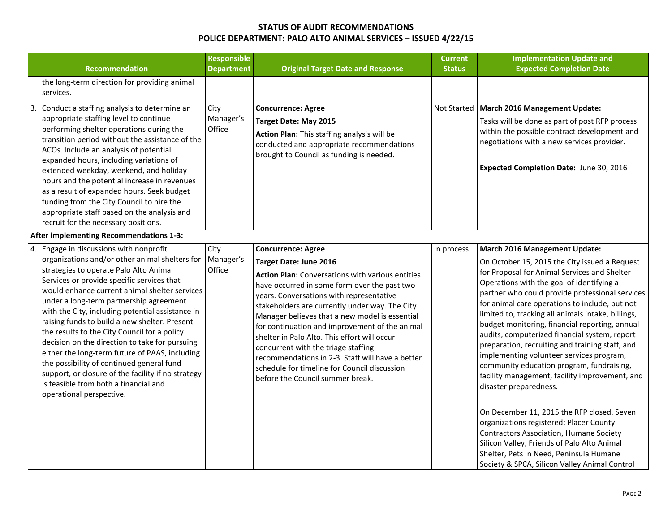|    | <b>Recommendation</b>                                                                                                                                                                                                                                                                                                                                                                                                                                                                                                                                                                                                                                                                                          | <b>Responsible</b><br><b>Department</b> | <b>Original Target Date and Response</b>                                                                                                                                                                                                                                                                                                                                                                                                                                                                                                                                                               | <b>Current</b><br><b>Status</b> | <b>Implementation Update and</b><br><b>Expected Completion Date</b>                                                                                                                                                                                                                                                                                                                                                                                                                                                                                                                                                                                               |
|----|----------------------------------------------------------------------------------------------------------------------------------------------------------------------------------------------------------------------------------------------------------------------------------------------------------------------------------------------------------------------------------------------------------------------------------------------------------------------------------------------------------------------------------------------------------------------------------------------------------------------------------------------------------------------------------------------------------------|-----------------------------------------|--------------------------------------------------------------------------------------------------------------------------------------------------------------------------------------------------------------------------------------------------------------------------------------------------------------------------------------------------------------------------------------------------------------------------------------------------------------------------------------------------------------------------------------------------------------------------------------------------------|---------------------------------|-------------------------------------------------------------------------------------------------------------------------------------------------------------------------------------------------------------------------------------------------------------------------------------------------------------------------------------------------------------------------------------------------------------------------------------------------------------------------------------------------------------------------------------------------------------------------------------------------------------------------------------------------------------------|
|    | the long-term direction for providing animal<br>services.                                                                                                                                                                                                                                                                                                                                                                                                                                                                                                                                                                                                                                                      |                                         |                                                                                                                                                                                                                                                                                                                                                                                                                                                                                                                                                                                                        |                                 |                                                                                                                                                                                                                                                                                                                                                                                                                                                                                                                                                                                                                                                                   |
| 3. | Conduct a staffing analysis to determine an<br>appropriate staffing level to continue<br>performing shelter operations during the<br>transition period without the assistance of the<br>ACOs. Include an analysis of potential<br>expanded hours, including variations of<br>extended weekday, weekend, and holiday<br>hours and the potential increase in revenues<br>as a result of expanded hours. Seek budget<br>funding from the City Council to hire the<br>appropriate staff based on the analysis and<br>recruit for the necessary positions.                                                                                                                                                          | City<br>Manager's<br>Office             | <b>Concurrence: Agree</b><br><b>Target Date: May 2015</b><br>Action Plan: This staffing analysis will be<br>conducted and appropriate recommendations<br>brought to Council as funding is needed.                                                                                                                                                                                                                                                                                                                                                                                                      |                                 | Not Started   March 2016 Management Update:<br>Tasks will be done as part of post RFP process<br>within the possible contract development and<br>negotiations with a new services provider.<br>Expected Completion Date: June 30, 2016                                                                                                                                                                                                                                                                                                                                                                                                                            |
|    | After implementing Recommendations 1-3:                                                                                                                                                                                                                                                                                                                                                                                                                                                                                                                                                                                                                                                                        |                                         |                                                                                                                                                                                                                                                                                                                                                                                                                                                                                                                                                                                                        |                                 |                                                                                                                                                                                                                                                                                                                                                                                                                                                                                                                                                                                                                                                                   |
|    | 4. Engage in discussions with nonprofit<br>organizations and/or other animal shelters for<br>strategies to operate Palo Alto Animal<br>Services or provide specific services that<br>would enhance current animal shelter services<br>under a long-term partnership agreement<br>with the City, including potential assistance in<br>raising funds to build a new shelter. Present<br>the results to the City Council for a policy<br>decision on the direction to take for pursuing<br>either the long-term future of PAAS, including<br>the possibility of continued general fund<br>support, or closure of the facility if no strategy<br>is feasible from both a financial and<br>operational perspective. | City<br>Manager's<br>Office             | <b>Concurrence: Agree</b><br><b>Target Date: June 2016</b><br><b>Action Plan: Conversations with various entities</b><br>have occurred in some form over the past two<br>years. Conversations with representative<br>stakeholders are currently under way. The City<br>Manager believes that a new model is essential<br>for continuation and improvement of the animal<br>shelter in Palo Alto. This effort will occur<br>concurrent with the triage staffing<br>recommendations in 2-3. Staff will have a better<br>schedule for timeline for Council discussion<br>before the Council summer break. | In process                      | March 2016 Management Update:<br>On October 15, 2015 the City issued a Request<br>for Proposal for Animal Services and Shelter<br>Operations with the goal of identifying a<br>partner who could provide professional services<br>for animal care operations to include, but not<br>limited to, tracking all animals intake, billings,<br>budget monitoring, financial reporting, annual<br>audits, computerized financial system, report<br>preparation, recruiting and training staff, and<br>implementing volunteer services program,<br>community education program, fundraising,<br>facility management, facility improvement, and<br>disaster preparedness. |
|    |                                                                                                                                                                                                                                                                                                                                                                                                                                                                                                                                                                                                                                                                                                                |                                         |                                                                                                                                                                                                                                                                                                                                                                                                                                                                                                                                                                                                        |                                 | On December 11, 2015 the RFP closed. Seven<br>organizations registered: Placer County<br><b>Contractors Association, Humane Society</b><br>Silicon Valley, Friends of Palo Alto Animal<br>Shelter, Pets In Need, Peninsula Humane<br>Society & SPCA, Silicon Valley Animal Control                                                                                                                                                                                                                                                                                                                                                                                |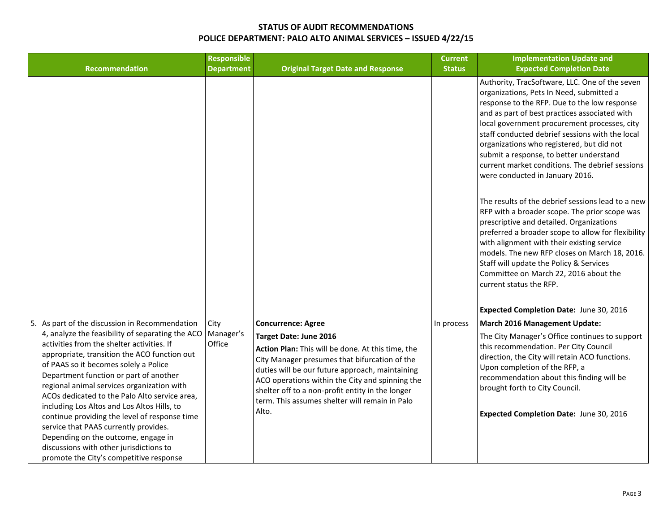| Recommendation                                                                                                                                                                                                                                                                                                                                                                                                                                                                                                                                                                                         | <b>Responsible</b><br><b>Department</b> | <b>Original Target Date and Response</b>                                                                                                                                                                                                                                                                                                          | <b>Current</b><br><b>Status</b> | <b>Implementation Update and</b><br><b>Expected Completion Date</b>                                                                                                                                                                                                                                                                                                                                                                                                          |
|--------------------------------------------------------------------------------------------------------------------------------------------------------------------------------------------------------------------------------------------------------------------------------------------------------------------------------------------------------------------------------------------------------------------------------------------------------------------------------------------------------------------------------------------------------------------------------------------------------|-----------------------------------------|---------------------------------------------------------------------------------------------------------------------------------------------------------------------------------------------------------------------------------------------------------------------------------------------------------------------------------------------------|---------------------------------|------------------------------------------------------------------------------------------------------------------------------------------------------------------------------------------------------------------------------------------------------------------------------------------------------------------------------------------------------------------------------------------------------------------------------------------------------------------------------|
|                                                                                                                                                                                                                                                                                                                                                                                                                                                                                                                                                                                                        |                                         |                                                                                                                                                                                                                                                                                                                                                   |                                 | Authority, TracSoftware, LLC. One of the seven<br>organizations, Pets In Need, submitted a<br>response to the RFP. Due to the low response<br>and as part of best practices associated with<br>local government procurement processes, city<br>staff conducted debrief sessions with the local<br>organizations who registered, but did not<br>submit a response, to better understand<br>current market conditions. The debrief sessions<br>were conducted in January 2016. |
|                                                                                                                                                                                                                                                                                                                                                                                                                                                                                                                                                                                                        |                                         |                                                                                                                                                                                                                                                                                                                                                   |                                 | The results of the debrief sessions lead to a new<br>RFP with a broader scope. The prior scope was<br>prescriptive and detailed. Organizations<br>preferred a broader scope to allow for flexibility<br>with alignment with their existing service<br>models. The new RFP closes on March 18, 2016.<br>Staff will update the Policy & Services<br>Committee on March 22, 2016 about the<br>current status the RFP.<br>Expected Completion Date: June 30, 2016                |
| 5. As part of the discussion in Recommendation                                                                                                                                                                                                                                                                                                                                                                                                                                                                                                                                                         | City                                    | <b>Concurrence: Agree</b>                                                                                                                                                                                                                                                                                                                         | In process                      | <b>March 2016 Management Update:</b>                                                                                                                                                                                                                                                                                                                                                                                                                                         |
| 4, analyze the feasibility of separating the ACO<br>activities from the shelter activities. If<br>appropriate, transition the ACO function out<br>of PAAS so it becomes solely a Police<br>Department function or part of another<br>regional animal services organization with<br>ACOs dedicated to the Palo Alto service area,<br>including Los Altos and Los Altos Hills, to<br>continue providing the level of response time<br>service that PAAS currently provides.<br>Depending on the outcome, engage in<br>discussions with other jurisdictions to<br>promote the City's competitive response | Manager's<br>Office                     | Target Date: June 2016<br>Action Plan: This will be done. At this time, the<br>City Manager presumes that bifurcation of the<br>duties will be our future approach, maintaining<br>ACO operations within the City and spinning the<br>shelter off to a non-profit entity in the longer<br>term. This assumes shelter will remain in Palo<br>Alto. |                                 | The City Manager's Office continues to support<br>this recommendation. Per City Council<br>direction, the City will retain ACO functions.<br>Upon completion of the RFP, a<br>recommendation about this finding will be<br>brought forth to City Council.<br>Expected Completion Date: June 30, 2016                                                                                                                                                                         |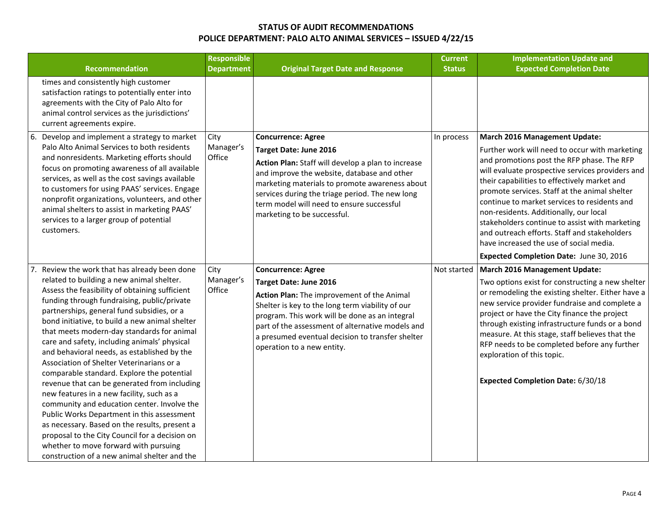| <b>Recommendation</b>                                                                                                                                                                                                                                                                                                                                                                                                                                                                                                                                                                                                                                                                                                                                                                                                                                                                                                  | <b>Responsible</b><br><b>Department</b> | <b>Original Target Date and Response</b>                                                                                                                                                                                                                                                                                                             | <b>Current</b><br><b>Status</b> | <b>Implementation Update and</b><br><b>Expected Completion Date</b>                                                                                                                                                                                                                                                                                                                                                                                                                                                                                                  |
|------------------------------------------------------------------------------------------------------------------------------------------------------------------------------------------------------------------------------------------------------------------------------------------------------------------------------------------------------------------------------------------------------------------------------------------------------------------------------------------------------------------------------------------------------------------------------------------------------------------------------------------------------------------------------------------------------------------------------------------------------------------------------------------------------------------------------------------------------------------------------------------------------------------------|-----------------------------------------|------------------------------------------------------------------------------------------------------------------------------------------------------------------------------------------------------------------------------------------------------------------------------------------------------------------------------------------------------|---------------------------------|----------------------------------------------------------------------------------------------------------------------------------------------------------------------------------------------------------------------------------------------------------------------------------------------------------------------------------------------------------------------------------------------------------------------------------------------------------------------------------------------------------------------------------------------------------------------|
| times and consistently high customer<br>satisfaction ratings to potentially enter into<br>agreements with the City of Palo Alto for<br>animal control services as the jurisdictions'<br>current agreements expire.                                                                                                                                                                                                                                                                                                                                                                                                                                                                                                                                                                                                                                                                                                     |                                         |                                                                                                                                                                                                                                                                                                                                                      |                                 |                                                                                                                                                                                                                                                                                                                                                                                                                                                                                                                                                                      |
| 6. Develop and implement a strategy to market<br>Palo Alto Animal Services to both residents<br>and nonresidents. Marketing efforts should<br>focus on promoting awareness of all available<br>services, as well as the cost savings available<br>to customers for using PAAS' services. Engage<br>nonprofit organizations, volunteers, and other<br>animal shelters to assist in marketing PAAS'<br>services to a larger group of potential<br>customers.                                                                                                                                                                                                                                                                                                                                                                                                                                                             | City<br>Manager's<br>Office             | <b>Concurrence: Agree</b><br>Target Date: June 2016<br>Action Plan: Staff will develop a plan to increase<br>and improve the website, database and other<br>marketing materials to promote awareness about<br>services during the triage period. The new long<br>term model will need to ensure successful<br>marketing to be successful.            | In process                      | March 2016 Management Update:<br>Further work will need to occur with marketing<br>and promotions post the RFP phase. The RFP<br>will evaluate prospective services providers and<br>their capabilities to effectively market and<br>promote services. Staff at the animal shelter<br>continue to market services to residents and<br>non-residents. Additionally, our local<br>stakeholders continue to assist with marketing<br>and outreach efforts. Staff and stakeholders<br>have increased the use of social media.<br>Expected Completion Date: June 30, 2016 |
| Review the work that has already been done<br>related to building a new animal shelter.<br>Assess the feasibility of obtaining sufficient<br>funding through fundraising, public/private<br>partnerships, general fund subsidies, or a<br>bond initiative, to build a new animal shelter<br>that meets modern-day standards for animal<br>care and safety, including animals' physical<br>and behavioral needs, as established by the<br>Association of Shelter Veterinarians or a<br>comparable standard. Explore the potential<br>revenue that can be generated from including<br>new features in a new facility, such as a<br>community and education center. Involve the<br>Public Works Department in this assessment<br>as necessary. Based on the results, present a<br>proposal to the City Council for a decision on<br>whether to move forward with pursuing<br>construction of a new animal shelter and the | City<br>Manager's<br>Office             | <b>Concurrence: Agree</b><br><b>Target Date: June 2016</b><br>Action Plan: The improvement of the Animal<br>Shelter is key to the long term viability of our<br>program. This work will be done as an integral<br>part of the assessment of alternative models and<br>a presumed eventual decision to transfer shelter<br>operation to a new entity. |                                 | Not started   March 2016 Management Update:<br>Two options exist for constructing a new shelter<br>or remodeling the existing shelter. Either have a<br>new service provider fundraise and complete a<br>project or have the City finance the project<br>through existing infrastructure funds or a bond<br>measure. At this stage, staff believes that the<br>RFP needs to be completed before any further<br>exploration of this topic.<br>Expected Completion Date: 6/30/18                                                                                       |